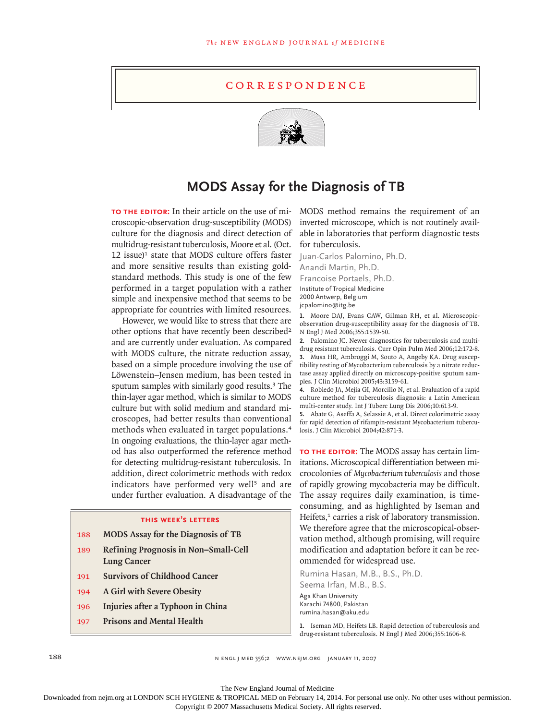## **CORRESPONDENCE**



## **MODS Assay for the Diagnosis of TB**

**TO THE EDITOR:** In their article on the use of microscopic-observation drug-susceptibility (MODS) culture for the diagnosis and direct detection of multidrug-resistant tuberculosis, Moore et al. (Oct.  $12$  issue)<sup>1</sup> state that MODS culture offers faster and more sensitive results than existing goldstandard methods. This study is one of the few performed in a target population with a rather simple and inexpensive method that seems to be appropriate for countries with limited resources.

However, we would like to stress that there are other options that have recently been described<sup>2</sup> and are currently under evaluation. As compared with MODS culture, the nitrate reduction assay, based on a simple procedure involving the use of Löwenstein–Jensen medium, has been tested in sputum samples with similarly good results.<sup>3</sup> The thin-layer agar method, which is similar to MODS culture but with solid medium and standard microscopes, had better results than conventional methods when evaluated in target populations.<sup>4</sup> In ongoing evaluations, the thin-layer agar method has also outperformed the reference method for detecting multidrug-resistant tuberculosis. In addition, direct colorimetric methods with redox indicators have performed very well<sup>5</sup> and are under further evaluation. A disadvantage of the

## **this week's letters**

- 188 **MODS Assay for the Diagnosis of TB**
- 189 **Refining Prognosis in Non–Small-Cell Lung Cancer**
- 191 **Survivors of Childhood Cancer**
- 194 **A Girl with Severe Obesity**
- 196 **Injuries after a Typhoon in China**
- 197 **Prisons and Mental Health**

MODS method remains the requirement of an inverted microscope, which is not routinely available in laboratories that perform diagnostic tests for tuberculosis.

Juan-Carlos Palomino, Ph.D. Anandi Martin, Ph.D. Francoise Portaels, Ph.D. Institute of Tropical Medicine 2000 Antwerp, Belgium jcpalomino@itg.be

Moore DAJ, Evans CAW, Gilman RH, et al. Microscopic-**1.** observation drug-susceptibility assay for the diagnosis of TB. N Engl J Med 2006;355:1539-50.

Palomino JC. Newer diagnostics for tuberculosis and multi-**2.** drug resistant tuberculosis. Curr Opin Pulm Med 2006;12:172-8. Musa HR, Ambroggi M, Souto A, Angeby KA. Drug suscep-**3.** tibility testing of Mycobacterium tuberculosis by a nitrate reductase assay applied directly on microscopy-positive sputum samples. J Clin Microbiol 2005;43:3159-61.

Robledo JA, Mejia GI, Morcillo N, et al. Evaluation of a rapid **4.** culture method for tuberculosis diagnosis: a Latin American multi-center study. Int J Tuberc Lung Dis 2006;10:613-9.

Abate G, Aseffa A, Selassie A, et al. Direct colorimetric assay **5.** for rapid detection of rifampin-resistant Mycobacterium tuberculosis. J Clin Microbiol 2004;42:871-3.

**To the Editor:** The MODS assay has certain limitations. Microscopical differentiation between microcolonies of *Mycobacterium tuberculosis* and those of rapidly growing mycobacteria may be difficult. The assay requires daily examination, is timeconsuming, and as highlighted by Iseman and Heifets,<sup>1</sup> carries a risk of laboratory transmission. We therefore agree that the microscopical-observation method, although promising, will require modification and adaptation before it can be recommended for widespread use.

Rumina Hasan, M.B., B.S., Ph.D. Seema Irfan, M.B., B.S. Aga Khan University

Karachi 74800, Pakistan rumina.hasan@aku.edu

1. Iseman MD, Heifets LB. Rapid detection of tuberculosis and drug-resistant tuberculosis. N Engl J Med 2006;355:1606-8.

188 n engl j med 356;2 www.nejm.org january 11, 2007

The New England Journal of Medicine

Downloaded from nejm.org at LONDON SCH HYGIENE & TROPICAL MED on February 14, 2014. For personal use only. No other uses without permission.

Copyright © 2007 Massachusetts Medical Society. All rights reserved.